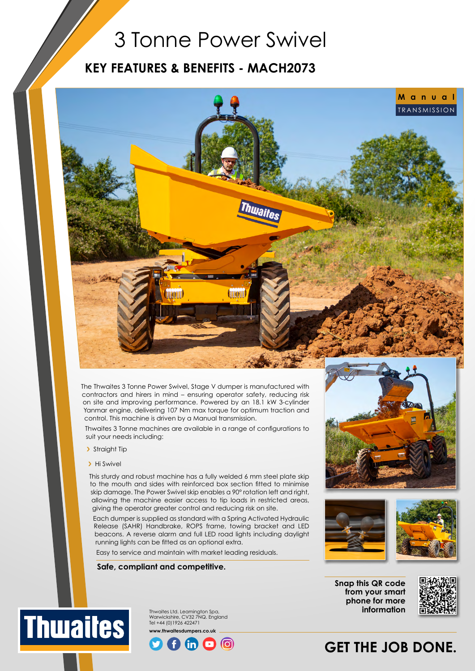## 3 Tonne Power Swivel

## **KEY FEATURES & BENEFITS - MACH2073**



The Thwaites 3 Tonne Power Swivel, Stage V dumper is manufactured with contractors and hirers in mind – ensuring operator safety, reducing risk on site and improving performance. Powered by an 18.1 kW 3-cylinder Yanmar engine, delivering 107 Nm max torque for optimum traction and control. This machine is driven by a Manual transmission.

Thwaites 3 Tonne machines are available in a range of configurations to suit your needs including:

- > Straight Tip
- > Hi Swivel

This sturdy and robust machine has a fully welded 6 mm steel plate skip to the mouth and sides with reinforced box section fitted to minimise skip damage. The Power Swivel skip enables a 90° rotation left and right, allowing the machine easier access to tip loads in restricted areas, giving the operator greater control and reducing risk on site.

Each dumper is supplied as standard with a Spring Activated Hydraulic Release (SAHR) Handbrake, ROPS frame, towing bracket and LED beacons. A reverse alarm and full LED road lights including daylight running lights can be fitted as an optional extra.

Easy to service and maintain with market leading residuals.

### **Safe, compliant and competitive.**



Thwaites Ltd. Leamington Spa, Warwickshire, CV32 7NQ. England Tel +44 (0)1926 422471 **www.thwaitesdumpers.co.uk**











## **GET THE JOB DONE.**